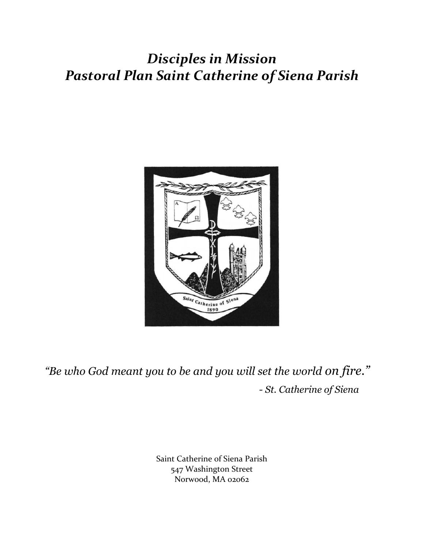## *Disciples in Mission Pastoral Plan Saint Catherine of Siena Parish*



*"Be who God meant you to be and you will set the world on fire." - St. Catherine of Siena*

> Saint Catherine of Siena Parish 547 Washington Street Norwood, MA 02062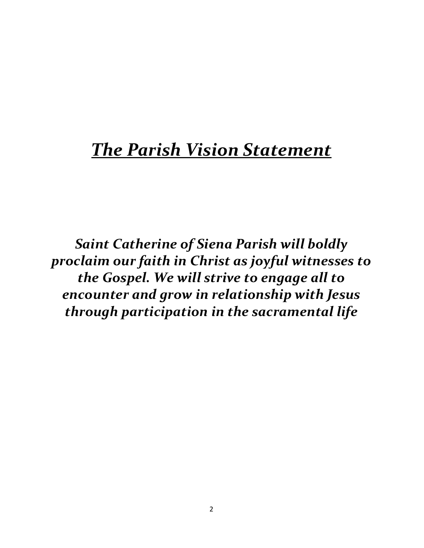# *The Parish Vision Statement*

*Saint Catherine of Siena Parish will boldly proclaim our faith in Christ as joyful witnesses to the Gospel. We will strive to engage all to encounter and grow in relationship with Jesus through participation in the sacramental life*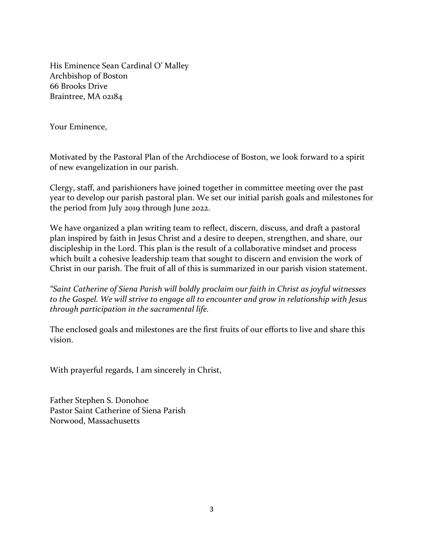His Eminence Sean Cardinal O' Malley Archbishop of Boston 66 Brooks Drive Braintree, MA 02184

Your Eminence,

Motivated by the Pastoral Plan of the Archdiocese of Boston, we look forward to a spirit of new evangelization in our parish.

Clergy, staff, and parishioners have joined together in committee meeting over the past year to develop our parish pastoral plan. We set our initial parish goals and milestones for the period from July 2019 through June 2022.

We have organized a plan writing team to reflect, discern, discuss, and draft a pastoral plan inspired by faith in Jesus Christ and a desire to deepen, strengthen, and share, our discipleship in the Lord. This plan is the result of a collaborative mindset and process which built a cohesive leadership team that sought to discern and envision the work of Christ in our parish. The fruit of all of this is summarized in our parish vision statement.

*"Saint Catherine of Siena Parish will boldly proclaim our faith in Christ as joyful witnesses to the Gospel. We will strive to engage all to encounter and grow in relationship with Jesus through participation in the sacramental life.* 

The enclosed goals and milestones are the first fruits of our efforts to live and share this vision.

With prayerful regards, I am sincerely in Christ,

Father Stephen S. Donohoe Pastor Saint Catherine of Siena Parish Norwood, Massachusetts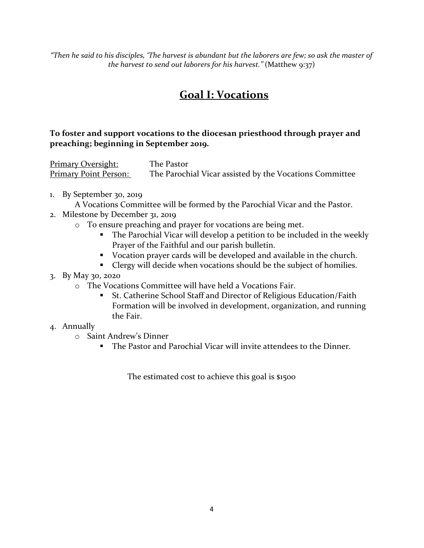*"Then he said to his disciples, 'The harvest is abundant but the laborers are few; so ask the master of the harvest to send out laborers for his harvest."* (Matthew 9:37)

### **Goal I: Vocations**

#### **To foster and support vocations to the diocesan priesthood through prayer and preaching; beginning in September 2019.**

Primary Oversight: The Pastor **Primary Point Person:** The Parochial Vicar assisted by the Vocations Committee

- 1. By September 30, 2019
- A Vocations Committee will be formed by the Parochial Vicar and the Pastor.
- 2. Milestone by December 31, 2019
	- o To ensure preaching and prayer for vocations are being met.
		- **•** The Parochial Vicar will develop a petition to be included in the weekly Prayer of the Faithful and our parish bulletin.
		- Vocation prayer cards will be developed and available in the church.
		- Clergy will decide when vocations should be the subject of homilies.
- 3. By May 30, 2020
	- o The Vocations Committee will have held a Vocations Fair.
		- St. Catherine School Staff and Director of Religious Education/Faith Formation will be involved in development, organization, and running the Fair.
- 4. Annually
	- o Saint Andrew's Dinner
		- The Pastor and Parochial Vicar will invite attendees to the Dinner.

The estimated cost to achieve this goal is \$1500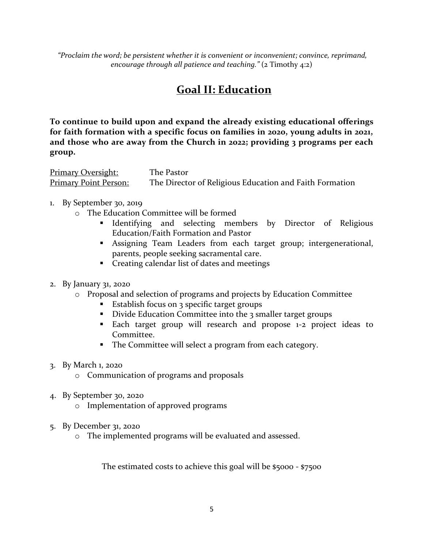*"Proclaim the word; be persistent whether it is convenient or inconvenient; convince, reprimand, encourage through all patience and teaching."* (2 Timothy 4:2)

### **Goal II: Education**

**To continue to build upon and expand the already existing educational offerings for faith formation with a specific focus on families in 2020, young adults in 2021, and those who are away from the Church in 2022; providing 3 programs per each group.** 

Primary Oversight: The Pastor Primary Point Person: The Director of Religious Education and Faith Formation

- 1. By September 30, 2019
	- o The Education Committee will be formed
		- **Example 1** Identifying and selecting members by Director of Religious Education/Faith Formation and Pastor
		- **EXECUTE:** Assigning Team Leaders from each target group; intergenerational, parents, people seeking sacramental care.
		- Creating calendar list of dates and meetings
- 2. By January 31, 2020
	- o Proposal and selection of programs and projects by Education Committee
		- Establish focus on 3 specific target groups
		- Divide Education Committee into the 3 smaller target groups
		- Each target group will research and propose 1-2 project ideas to Committee.
		- The Committee will select a program from each category.
- 3. By March 1, 2020
	- o Communication of programs and proposals
- 4. By September 30, 2020
	- o Implementation of approved programs
- 5. By December 31, 2020
	- o The implemented programs will be evaluated and assessed.

The estimated costs to achieve this goal will be \$5000 - \$7500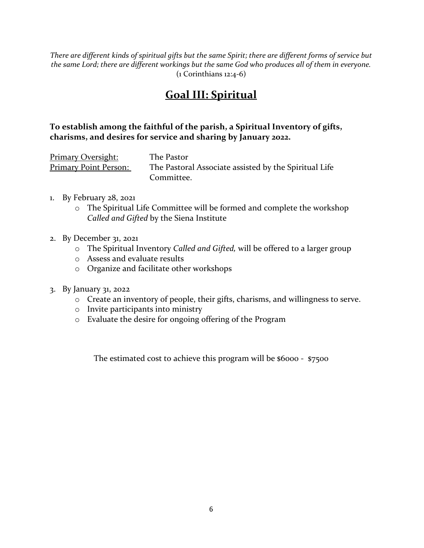*There are different kinds of spiritual gifts but the same Spirit; there are different forms of service but the same Lord; there are different workings but the same God who produces all of them in everyone.*  (1 Corinthians 12:4-6)

#### **Goal III: Spiritual**

#### **To establish among the faithful of the parish, a Spiritual Inventory of gifts, charisms, and desires for service and sharing by January 2022.**

| <b>Primary Oversight:</b>    | The Pastor                                            |
|------------------------------|-------------------------------------------------------|
| <b>Primary Point Person:</b> | The Pastoral Associate assisted by the Spiritual Life |
|                              | Committee.                                            |

- 1. By February 28, 2021
	- o The Spiritual Life Committee will be formed and complete the workshop *Called and Gifted* by the Siena Institute
- 2. By December 31, 2021
	- o The Spiritual Inventory *Called and Gifted,* will be offered to a larger group
	- o Assess and evaluate results
	- o Organize and facilitate other workshops
- 3. By January 31, 2022
	- o Create an inventory of people, their gifts, charisms, and willingness to serve.
	- o Invite participants into ministry
	- o Evaluate the desire for ongoing offering of the Program

The estimated cost to achieve this program will be \$6000 - \$7500